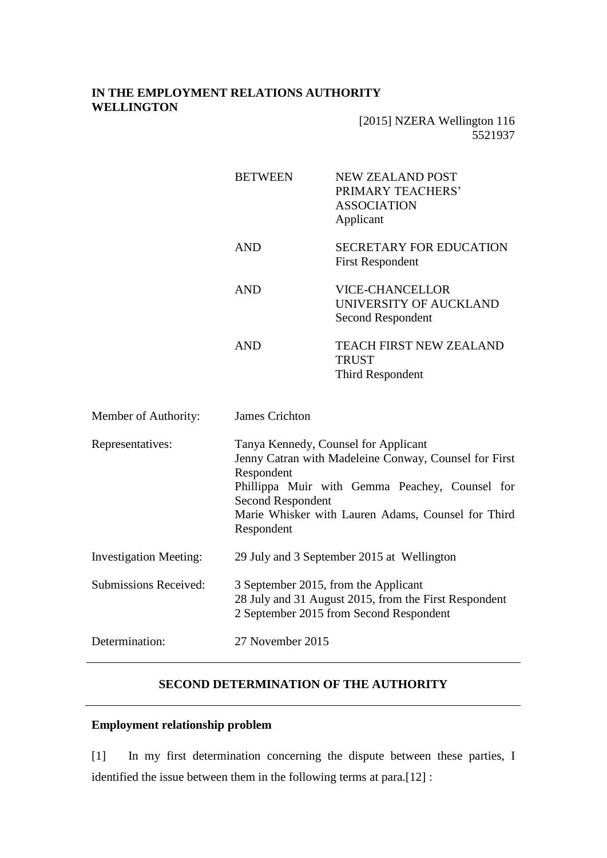## **IN THE EMPLOYMENT RELATIONS AUTHORITY WELLINGTON**

|                               | <b>BETWEEN</b>                                                                                                                                                                                                                                                | <b>NEW ZEALAND POST</b><br>PRIMARY TEACHERS'<br><b>ASSOCIATION</b><br>Applicant |
|-------------------------------|---------------------------------------------------------------------------------------------------------------------------------------------------------------------------------------------------------------------------------------------------------------|---------------------------------------------------------------------------------|
|                               | <b>AND</b>                                                                                                                                                                                                                                                    | <b>SECRETARY FOR EDUCATION</b><br><b>First Respondent</b>                       |
|                               | <b>AND</b>                                                                                                                                                                                                                                                    | <b>VICE-CHANCELLOR</b><br>UNIVERSITY OF AUCKLAND<br>Second Respondent           |
|                               | <b>AND</b>                                                                                                                                                                                                                                                    | TEACH FIRST NEW ZEALAND<br><b>TRUST</b><br>Third Respondent                     |
| Member of Authority:          | <b>James Crichton</b>                                                                                                                                                                                                                                         |                                                                                 |
| Representatives:              | Tanya Kennedy, Counsel for Applicant<br>Jenny Catran with Madeleine Conway, Counsel for First<br>Respondent<br>Phillippa Muir with Gemma Peachey, Counsel for<br><b>Second Respondent</b><br>Marie Whisker with Lauren Adams, Counsel for Third<br>Respondent |                                                                                 |
| <b>Investigation Meeting:</b> | 29 July and 3 September 2015 at Wellington                                                                                                                                                                                                                    |                                                                                 |
| <b>Submissions Received:</b>  | 3 September 2015, from the Applicant<br>28 July and 31 August 2015, from the First Respondent<br>2 September 2015 from Second Respondent                                                                                                                      |                                                                                 |
| Determination:                | 27 November 2015                                                                                                                                                                                                                                              |                                                                                 |
|                               |                                                                                                                                                                                                                                                               |                                                                                 |

### **SECOND DETERMINATION OF THE AUTHORITY**

# **Employment relationship problem**

[1] In my first determination concerning the dispute between these parties, I identified the issue between them in the following terms at para.[12] :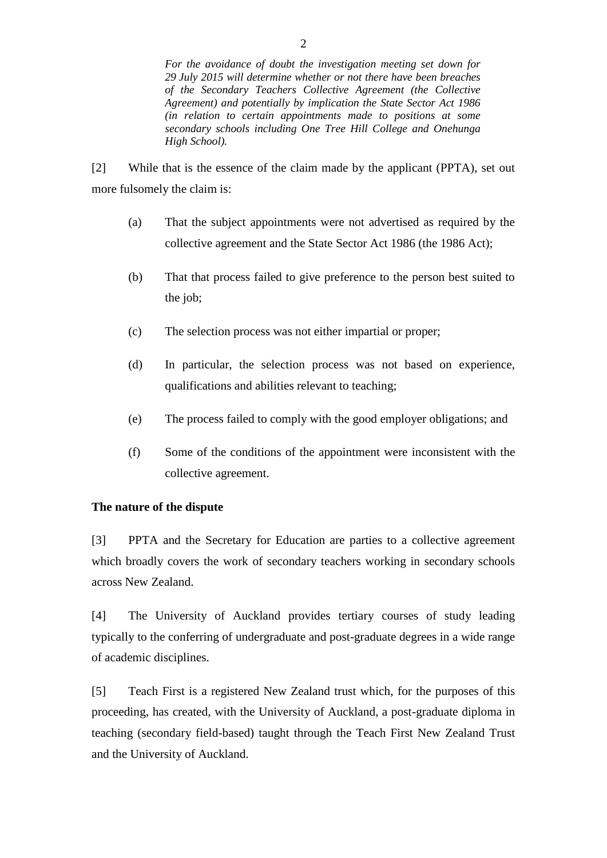[2] While that is the essence of the claim made by the applicant (PPTA), set out more fulsomely the claim is:

- (a) That the subject appointments were not advertised as required by the collective agreement and the State Sector Act 1986 (the 1986 Act);
- (b) That that process failed to give preference to the person best suited to the job;
- (c) The selection process was not either impartial or proper;
- (d) In particular, the selection process was not based on experience, qualifications and abilities relevant to teaching;
- (e) The process failed to comply with the good employer obligations; and
- (f) Some of the conditions of the appointment were inconsistent with the collective agreement.

### **The nature of the dispute**

[3] PPTA and the Secretary for Education are parties to a collective agreement which broadly covers the work of secondary teachers working in secondary schools across New Zealand.

[4] The University of Auckland provides tertiary courses of study leading typically to the conferring of undergraduate and post-graduate degrees in a wide range of academic disciplines.

[5] Teach First is a registered New Zealand trust which, for the purposes of this proceeding, has created, with the University of Auckland, a post-graduate diploma in teaching (secondary field-based) taught through the Teach First New Zealand Trust and the University of Auckland.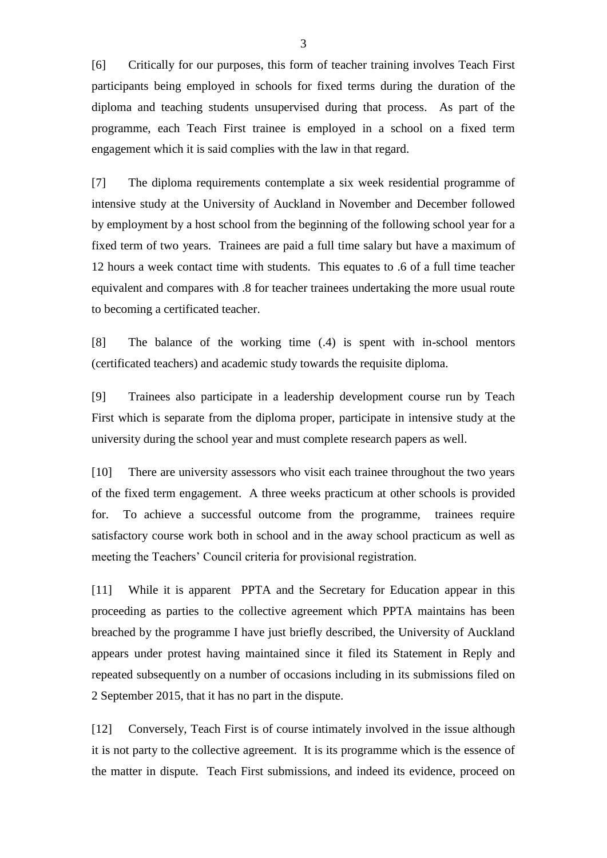[6] Critically for our purposes, this form of teacher training involves Teach First participants being employed in schools for fixed terms during the duration of the diploma and teaching students unsupervised during that process. As part of the programme, each Teach First trainee is employed in a school on a fixed term engagement which it is said complies with the law in that regard.

[7] The diploma requirements contemplate a six week residential programme of intensive study at the University of Auckland in November and December followed by employment by a host school from the beginning of the following school year for a fixed term of two years. Trainees are paid a full time salary but have a maximum of 12 hours a week contact time with students. This equates to .6 of a full time teacher equivalent and compares with .8 for teacher trainees undertaking the more usual route to becoming a certificated teacher.

[8] The balance of the working time (.4) is spent with in-school mentors (certificated teachers) and academic study towards the requisite diploma.

[9] Trainees also participate in a leadership development course run by Teach First which is separate from the diploma proper, participate in intensive study at the university during the school year and must complete research papers as well.

[10] There are university assessors who visit each trainee throughout the two years of the fixed term engagement. A three weeks practicum at other schools is provided for. To achieve a successful outcome from the programme, trainees require satisfactory course work both in school and in the away school practicum as well as meeting the Teachers' Council criteria for provisional registration.

[11] While it is apparent PPTA and the Secretary for Education appear in this proceeding as parties to the collective agreement which PPTA maintains has been breached by the programme I have just briefly described, the University of Auckland appears under protest having maintained since it filed its Statement in Reply and repeated subsequently on a number of occasions including in its submissions filed on 2 September 2015, that it has no part in the dispute.

[12] Conversely, Teach First is of course intimately involved in the issue although it is not party to the collective agreement. It is its programme which is the essence of the matter in dispute. Teach First submissions, and indeed its evidence, proceed on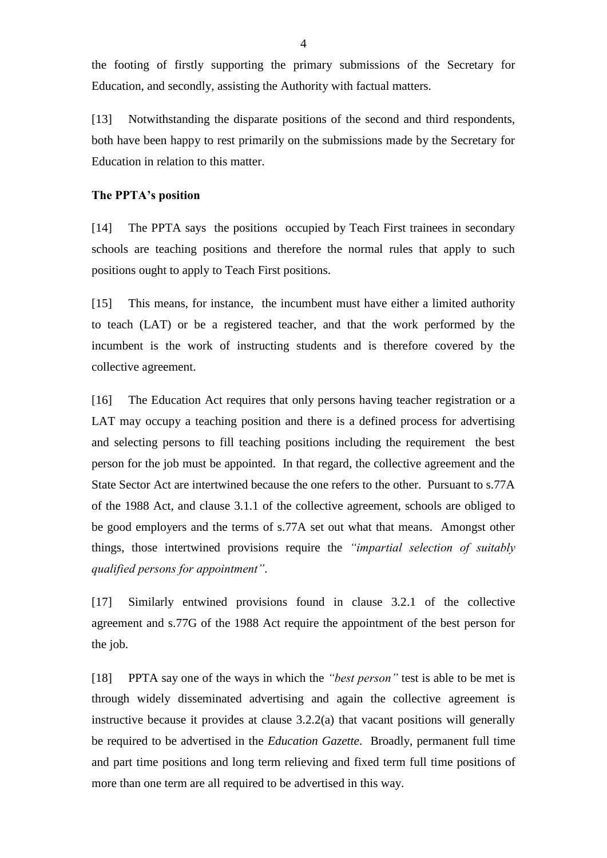the footing of firstly supporting the primary submissions of the Secretary for Education, and secondly, assisting the Authority with factual matters.

[13] Notwithstanding the disparate positions of the second and third respondents, both have been happy to rest primarily on the submissions made by the Secretary for Education in relation to this matter.

### **The PPTA's position**

[14] The PPTA says the positions occupied by Teach First trainees in secondary schools are teaching positions and therefore the normal rules that apply to such positions ought to apply to Teach First positions.

[15] This means, for instance, the incumbent must have either a limited authority to teach (LAT) or be a registered teacher, and that the work performed by the incumbent is the work of instructing students and is therefore covered by the collective agreement.

[16] The Education Act requires that only persons having teacher registration or a LAT may occupy a teaching position and there is a defined process for advertising and selecting persons to fill teaching positions including the requirement the best person for the job must be appointed. In that regard, the collective agreement and the State Sector Act are intertwined because the one refers to the other. Pursuant to s.77A of the 1988 Act, and clause 3.1.1 of the collective agreement, schools are obliged to be good employers and the terms of s.77A set out what that means. Amongst other things, those intertwined provisions require the *"impartial selection of suitably qualified persons for appointment"*.

[17] Similarly entwined provisions found in clause 3.2.1 of the collective agreement and s.77G of the 1988 Act require the appointment of the best person for the job.

[18] PPTA say one of the ways in which the *"best person"* test is able to be met is through widely disseminated advertising and again the collective agreement is instructive because it provides at clause 3.2.2(a) that vacant positions will generally be required to be advertised in the *Education Gazette*. Broadly, permanent full time and part time positions and long term relieving and fixed term full time positions of more than one term are all required to be advertised in this way.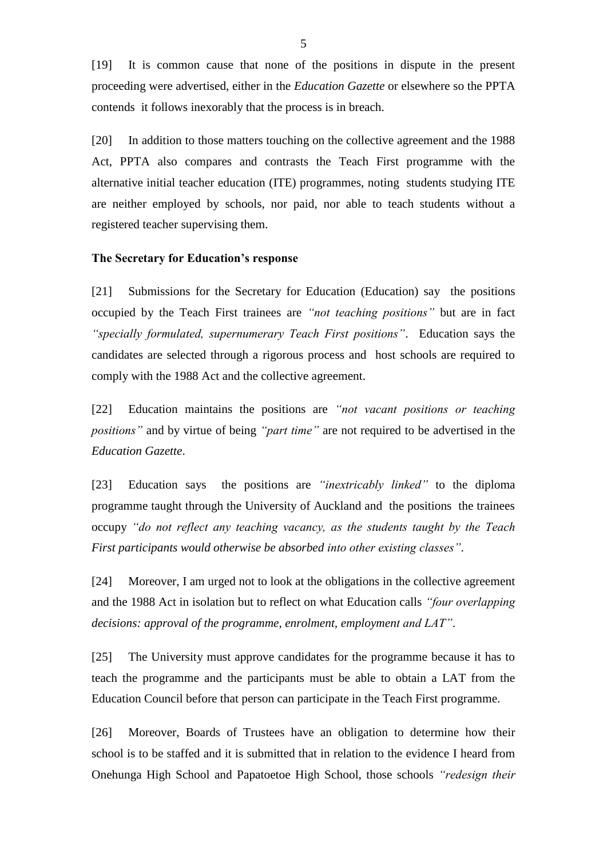[19] It is common cause that none of the positions in dispute in the present proceeding were advertised, either in the *Education Gazette* or elsewhere so the PPTA contends it follows inexorably that the process is in breach.

[20] In addition to those matters touching on the collective agreement and the 1988 Act, PPTA also compares and contrasts the Teach First programme with the alternative initial teacher education (ITE) programmes, noting students studying ITE are neither employed by schools, nor paid, nor able to teach students without a registered teacher supervising them.

#### **The Secretary for Education's response**

[21] Submissions for the Secretary for Education (Education) say the positions occupied by the Teach First trainees are *"not teaching positions"* but are in fact *"specially formulated, supernumerary Teach First positions"*. Education says the candidates are selected through a rigorous process and host schools are required to comply with the 1988 Act and the collective agreement.

[22] Education maintains the positions are *"not vacant positions or teaching positions"* and by virtue of being *"part time"* are not required to be advertised in the *Education Gazette*.

[23] Education says the positions are *"inextricably linked"* to the diploma programme taught through the University of Auckland and the positions the trainees occupy *"do not reflect any teaching vacancy, as the students taught by the Teach First participants would otherwise be absorbed into other existing classes"*.

[24] Moreover, I am urged not to look at the obligations in the collective agreement and the 1988 Act in isolation but to reflect on what Education calls *"four overlapping decisions: approval of the programme, enrolment, employment and LAT"*.

[25] The University must approve candidates for the programme because it has to teach the programme and the participants must be able to obtain a LAT from the Education Council before that person can participate in the Teach First programme.

[26] Moreover, Boards of Trustees have an obligation to determine how their school is to be staffed and it is submitted that in relation to the evidence I heard from Onehunga High School and Papatoetoe High School, those schools *"redesign their*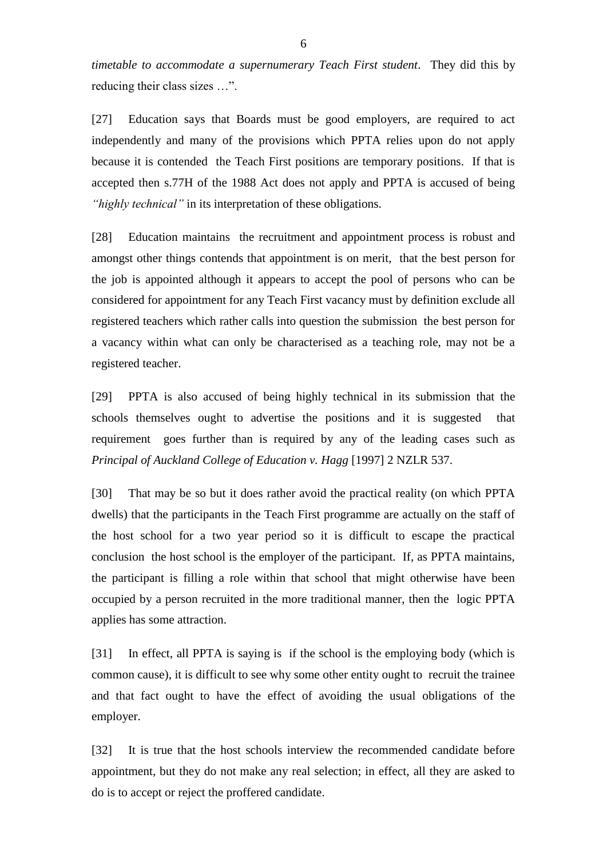*timetable to accommodate a supernumerary Teach First student*. They did this by reducing their class sizes …".

[27] Education says that Boards must be good employers, are required to act independently and many of the provisions which PPTA relies upon do not apply because it is contended the Teach First positions are temporary positions. If that is accepted then s.77H of the 1988 Act does not apply and PPTA is accused of being *"highly technical"* in its interpretation of these obligations.

[28] Education maintains the recruitment and appointment process is robust and amongst other things contends that appointment is on merit, that the best person for the job is appointed although it appears to accept the pool of persons who can be considered for appointment for any Teach First vacancy must by definition exclude all registered teachers which rather calls into question the submission the best person for a vacancy within what can only be characterised as a teaching role, may not be a registered teacher.

[29] PPTA is also accused of being highly technical in its submission that the schools themselves ought to advertise the positions and it is suggested that requirement goes further than is required by any of the leading cases such as *Principal of Auckland College of Education v. Hagg* [1997] 2 NZLR 537.

[30] That may be so but it does rather avoid the practical reality (on which PPTA dwells) that the participants in the Teach First programme are actually on the staff of the host school for a two year period so it is difficult to escape the practical conclusion the host school is the employer of the participant. If, as PPTA maintains, the participant is filling a role within that school that might otherwise have been occupied by a person recruited in the more traditional manner, then the logic PPTA applies has some attraction.

[31] In effect, all PPTA is saying is if the school is the employing body (which is common cause), it is difficult to see why some other entity ought to recruit the trainee and that fact ought to have the effect of avoiding the usual obligations of the employer.

[32] It is true that the host schools interview the recommended candidate before appointment, but they do not make any real selection; in effect, all they are asked to do is to accept or reject the proffered candidate.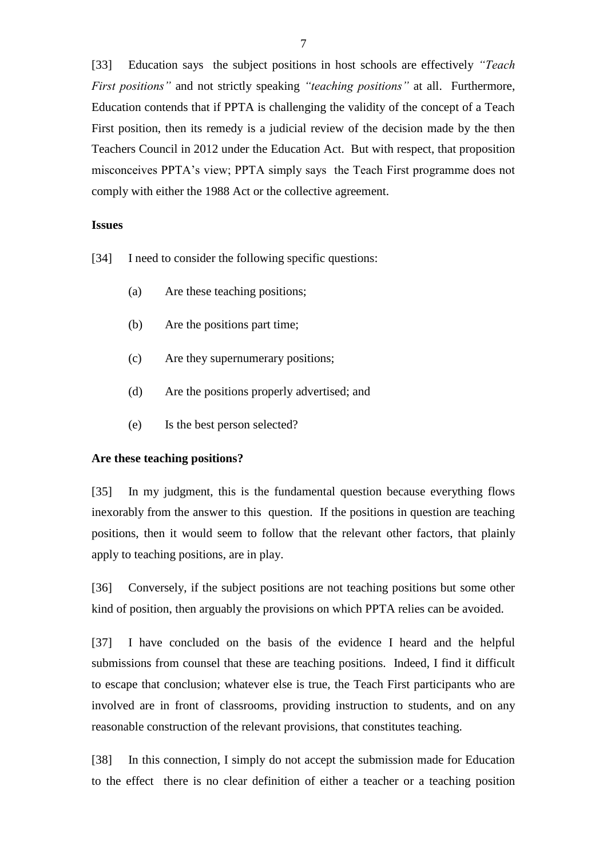[33] Education says the subject positions in host schools are effectively *"Teach First positions"* and not strictly speaking *"teaching positions"* at all. Furthermore, Education contends that if PPTA is challenging the validity of the concept of a Teach First position, then its remedy is a judicial review of the decision made by the then Teachers Council in 2012 under the Education Act. But with respect, that proposition misconceives PPTA's view; PPTA simply says the Teach First programme does not comply with either the 1988 Act or the collective agreement.

#### **Issues**

[34] I need to consider the following specific questions:

- (a) Are these teaching positions;
- (b) Are the positions part time;
- (c) Are they supernumerary positions;
- (d) Are the positions properly advertised; and
- (e) Is the best person selected?

#### **Are these teaching positions?**

[35] In my judgment, this is the fundamental question because everything flows inexorably from the answer to this question. If the positions in question are teaching positions, then it would seem to follow that the relevant other factors, that plainly apply to teaching positions, are in play.

[36] Conversely, if the subject positions are not teaching positions but some other kind of position, then arguably the provisions on which PPTA relies can be avoided.

[37] I have concluded on the basis of the evidence I heard and the helpful submissions from counsel that these are teaching positions. Indeed, I find it difficult to escape that conclusion; whatever else is true, the Teach First participants who are involved are in front of classrooms, providing instruction to students, and on any reasonable construction of the relevant provisions, that constitutes teaching.

[38] In this connection, I simply do not accept the submission made for Education to the effect there is no clear definition of either a teacher or a teaching position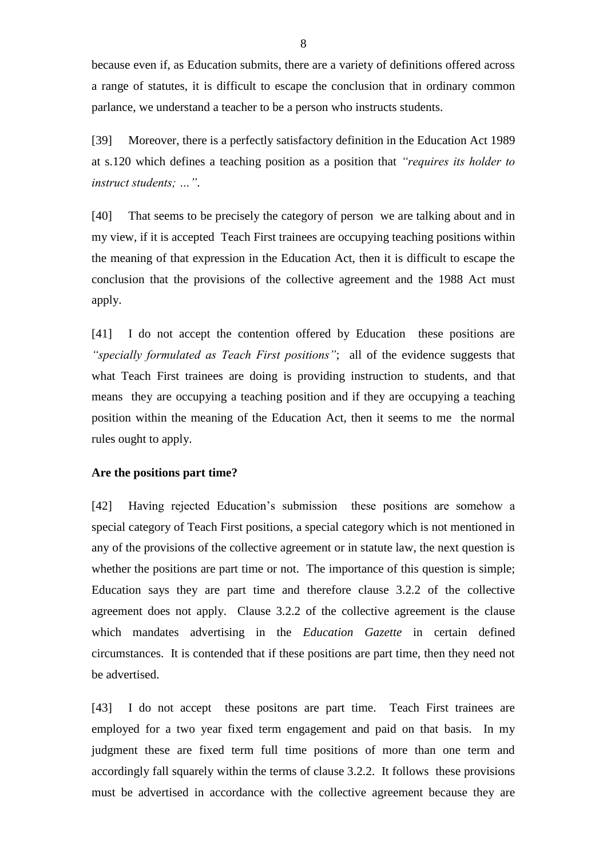because even if, as Education submits, there are a variety of definitions offered across a range of statutes, it is difficult to escape the conclusion that in ordinary common parlance, we understand a teacher to be a person who instructs students.

[39] Moreover, there is a perfectly satisfactory definition in the Education Act 1989 at s.120 which defines a teaching position as a position that *"requires its holder to instruct students; …"*.

[40] That seems to be precisely the category of person we are talking about and in my view, if it is accepted Teach First trainees are occupying teaching positions within the meaning of that expression in the Education Act, then it is difficult to escape the conclusion that the provisions of the collective agreement and the 1988 Act must apply.

[41] I do not accept the contention offered by Education these positions are *"specially formulated as Teach First positions"*; all of the evidence suggests that what Teach First trainees are doing is providing instruction to students, and that means they are occupying a teaching position and if they are occupying a teaching position within the meaning of the Education Act, then it seems to me the normal rules ought to apply.

#### **Are the positions part time?**

[42] Having rejected Education's submission these positions are somehow a special category of Teach First positions, a special category which is not mentioned in any of the provisions of the collective agreement or in statute law, the next question is whether the positions are part time or not. The importance of this question is simple; Education says they are part time and therefore clause 3.2.2 of the collective agreement does not apply. Clause 3.2.2 of the collective agreement is the clause which mandates advertising in the *Education Gazette* in certain defined circumstances. It is contended that if these positions are part time, then they need not be advertised.

[43] I do not accept these positons are part time. Teach First trainees are employed for a two year fixed term engagement and paid on that basis. In my judgment these are fixed term full time positions of more than one term and accordingly fall squarely within the terms of clause 3.2.2. It follows these provisions must be advertised in accordance with the collective agreement because they are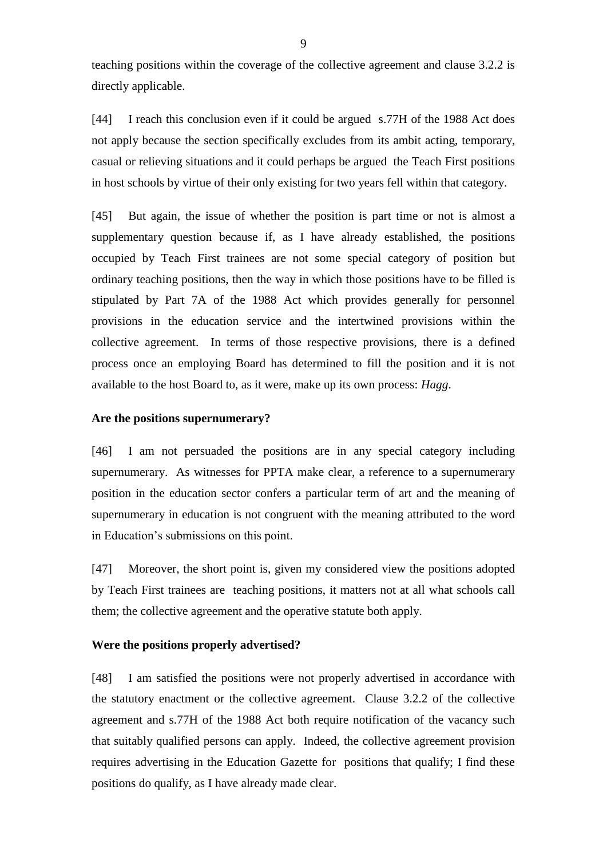teaching positions within the coverage of the collective agreement and clause 3.2.2 is directly applicable.

[44] I reach this conclusion even if it could be argued s.77H of the 1988 Act does not apply because the section specifically excludes from its ambit acting, temporary, casual or relieving situations and it could perhaps be argued the Teach First positions in host schools by virtue of their only existing for two years fell within that category.

[45] But again, the issue of whether the position is part time or not is almost a supplementary question because if, as I have already established, the positions occupied by Teach First trainees are not some special category of position but ordinary teaching positions, then the way in which those positions have to be filled is stipulated by Part 7A of the 1988 Act which provides generally for personnel provisions in the education service and the intertwined provisions within the collective agreement. In terms of those respective provisions, there is a defined process once an employing Board has determined to fill the position and it is not available to the host Board to, as it were, make up its own process: *Hagg*.

### **Are the positions supernumerary?**

[46] I am not persuaded the positions are in any special category including supernumerary. As witnesses for PPTA make clear, a reference to a supernumerary position in the education sector confers a particular term of art and the meaning of supernumerary in education is not congruent with the meaning attributed to the word in Education's submissions on this point.

[47] Moreover, the short point is, given my considered view the positions adopted by Teach First trainees are teaching positions, it matters not at all what schools call them; the collective agreement and the operative statute both apply.

#### **Were the positions properly advertised?**

[48] I am satisfied the positions were not properly advertised in accordance with the statutory enactment or the collective agreement. Clause 3.2.2 of the collective agreement and s.77H of the 1988 Act both require notification of the vacancy such that suitably qualified persons can apply. Indeed, the collective agreement provision requires advertising in the Education Gazette for positions that qualify; I find these positions do qualify, as I have already made clear.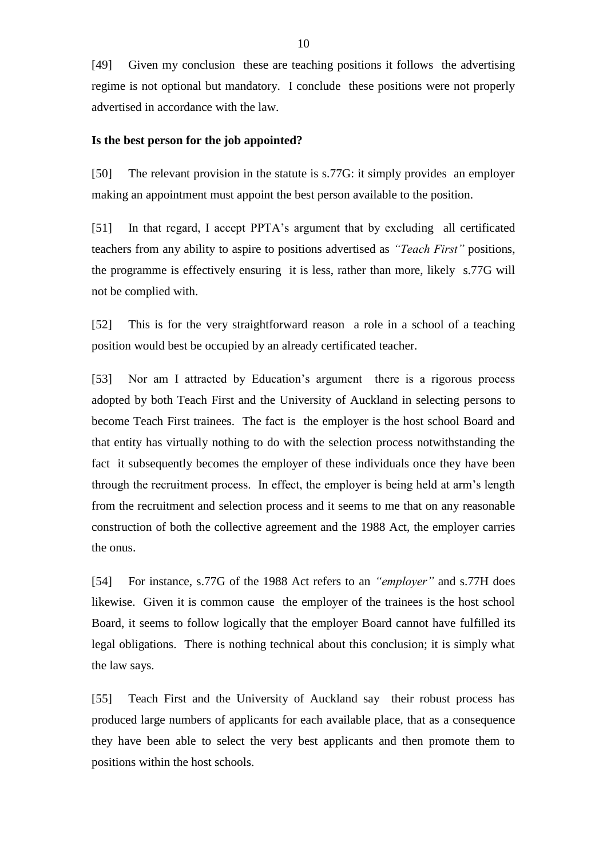[49] Given my conclusion these are teaching positions it follows the advertising regime is not optional but mandatory. I conclude these positions were not properly advertised in accordance with the law.

#### **Is the best person for the job appointed?**

[50] The relevant provision in the statute is s.77G: it simply provides an employer making an appointment must appoint the best person available to the position.

[51] In that regard, I accept PPTA's argument that by excluding all certificated teachers from any ability to aspire to positions advertised as *"Teach First"* positions, the programme is effectively ensuring it is less, rather than more, likely s.77G will not be complied with.

[52] This is for the very straightforward reason a role in a school of a teaching position would best be occupied by an already certificated teacher.

[53] Nor am I attracted by Education's argument there is a rigorous process adopted by both Teach First and the University of Auckland in selecting persons to become Teach First trainees. The fact is the employer is the host school Board and that entity has virtually nothing to do with the selection process notwithstanding the fact it subsequently becomes the employer of these individuals once they have been through the recruitment process. In effect, the employer is being held at arm's length from the recruitment and selection process and it seems to me that on any reasonable construction of both the collective agreement and the 1988 Act, the employer carries the onus.

[54] For instance, s.77G of the 1988 Act refers to an *"employer"* and s.77H does likewise. Given it is common cause the employer of the trainees is the host school Board, it seems to follow logically that the employer Board cannot have fulfilled its legal obligations. There is nothing technical about this conclusion; it is simply what the law says.

[55] Teach First and the University of Auckland say their robust process has produced large numbers of applicants for each available place, that as a consequence they have been able to select the very best applicants and then promote them to positions within the host schools.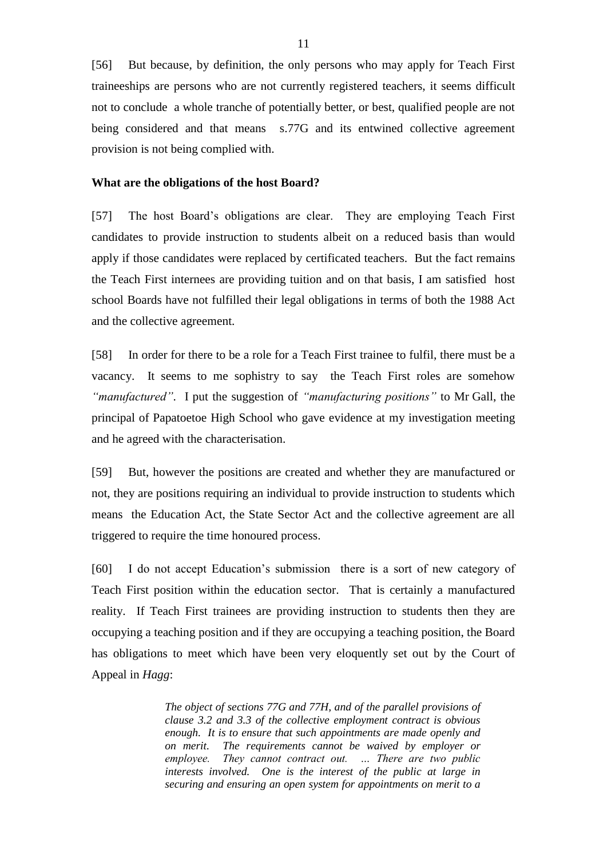[56] But because, by definition, the only persons who may apply for Teach First traineeships are persons who are not currently registered teachers, it seems difficult not to conclude a whole tranche of potentially better, or best, qualified people are not being considered and that means s.77G and its entwined collective agreement provision is not being complied with.

#### **What are the obligations of the host Board?**

[57] The host Board's obligations are clear. They are employing Teach First candidates to provide instruction to students albeit on a reduced basis than would apply if those candidates were replaced by certificated teachers. But the fact remains the Teach First internees are providing tuition and on that basis, I am satisfied host school Boards have not fulfilled their legal obligations in terms of both the 1988 Act and the collective agreement.

[58] In order for there to be a role for a Teach First trainee to fulfil, there must be a vacancy. It seems to me sophistry to say the Teach First roles are somehow *"manufactured"*. I put the suggestion of *"manufacturing positions"* to Mr Gall, the principal of Papatoetoe High School who gave evidence at my investigation meeting and he agreed with the characterisation.

[59] But, however the positions are created and whether they are manufactured or not, they are positions requiring an individual to provide instruction to students which means the Education Act, the State Sector Act and the collective agreement are all triggered to require the time honoured process.

[60] I do not accept Education's submission there is a sort of new category of Teach First position within the education sector. That is certainly a manufactured reality. If Teach First trainees are providing instruction to students then they are occupying a teaching position and if they are occupying a teaching position, the Board has obligations to meet which have been very eloquently set out by the Court of Appeal in *Hagg*:

> *The object of sections 77G and 77H, and of the parallel provisions of clause 3.2 and 3.3 of the collective employment contract is obvious enough. It is to ensure that such appointments are made openly and on merit. The requirements cannot be waived by employer or employee. They cannot contract out. … There are two public interests involved. One is the interest of the public at large in securing and ensuring an open system for appointments on merit to a*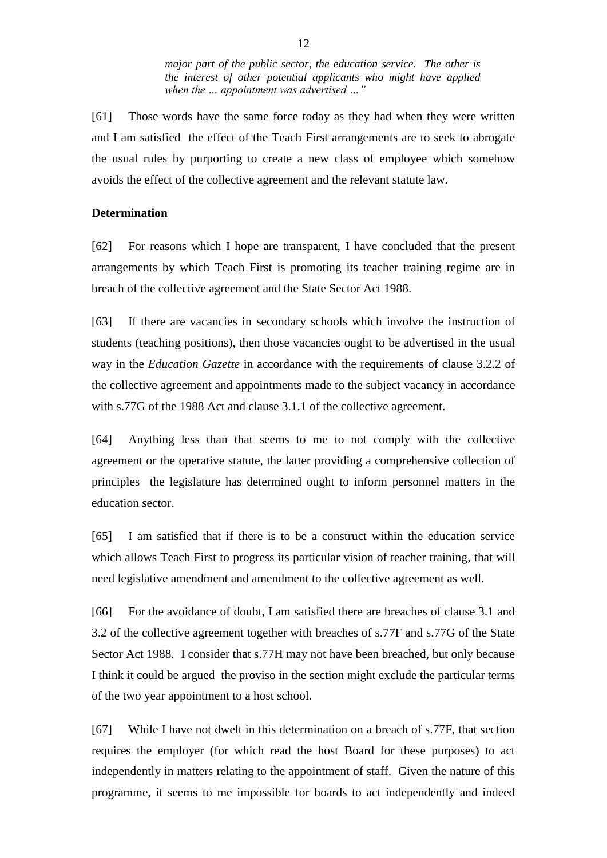*major part of the public sector, the education service. The other is the interest of other potential applicants who might have applied when the … appointment was advertised …"*

[61] Those words have the same force today as they had when they were written and I am satisfied the effect of the Teach First arrangements are to seek to abrogate the usual rules by purporting to create a new class of employee which somehow avoids the effect of the collective agreement and the relevant statute law.

#### **Determination**

[62] For reasons which I hope are transparent, I have concluded that the present arrangements by which Teach First is promoting its teacher training regime are in breach of the collective agreement and the State Sector Act 1988.

[63] If there are vacancies in secondary schools which involve the instruction of students (teaching positions), then those vacancies ought to be advertised in the usual way in the *Education Gazette* in accordance with the requirements of clause 3.2.2 of the collective agreement and appointments made to the subject vacancy in accordance with s.77G of the 1988 Act and clause 3.1.1 of the collective agreement.

[64] Anything less than that seems to me to not comply with the collective agreement or the operative statute, the latter providing a comprehensive collection of principles the legislature has determined ought to inform personnel matters in the education sector.

[65] I am satisfied that if there is to be a construct within the education service which allows Teach First to progress its particular vision of teacher training, that will need legislative amendment and amendment to the collective agreement as well.

[66] For the avoidance of doubt, I am satisfied there are breaches of clause 3.1 and 3.2 of the collective agreement together with breaches of s.77F and s.77G of the State Sector Act 1988. I consider that s.77H may not have been breached, but only because I think it could be argued the proviso in the section might exclude the particular terms of the two year appointment to a host school.

[67] While I have not dwelt in this determination on a breach of s.77F, that section requires the employer (for which read the host Board for these purposes) to act independently in matters relating to the appointment of staff. Given the nature of this programme, it seems to me impossible for boards to act independently and indeed